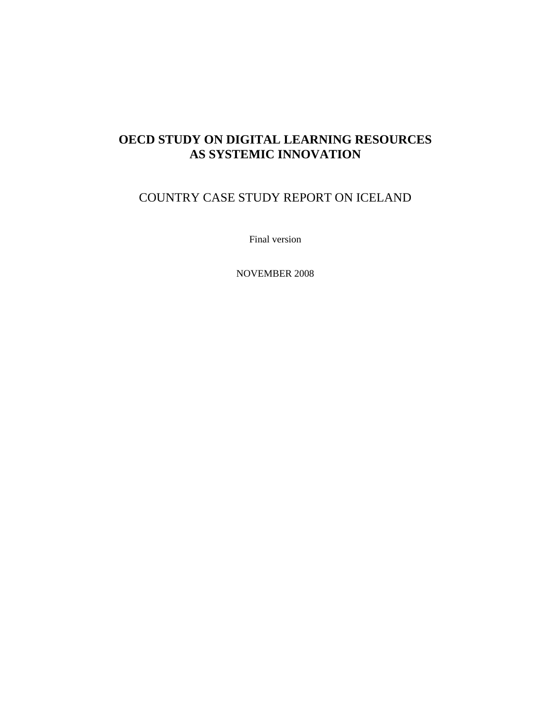# **OECD STUDY ON DIGITAL LEARNING RESOURCES AS SYSTEMIC INNOVATION**

# COUNTRY CASE STUDY REPORT ON ICELAND

Final version

NOVEMBER 2008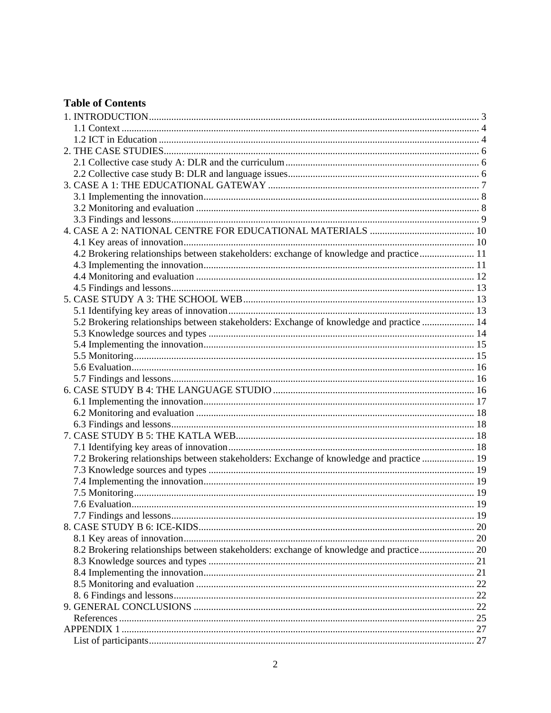## **Table of Contents**

| 4.2 Brokering relationships between stakeholders: exchange of knowledge and practice 11  |  |
|------------------------------------------------------------------------------------------|--|
|                                                                                          |  |
|                                                                                          |  |
|                                                                                          |  |
|                                                                                          |  |
|                                                                                          |  |
| 5.2 Brokering relationships between stakeholders: Exchange of knowledge and practice  14 |  |
|                                                                                          |  |
|                                                                                          |  |
|                                                                                          |  |
|                                                                                          |  |
|                                                                                          |  |
|                                                                                          |  |
|                                                                                          |  |
|                                                                                          |  |
|                                                                                          |  |
|                                                                                          |  |
| 7.2 Brokering relationships between stakeholders: Exchange of knowledge and practice  19 |  |
|                                                                                          |  |
|                                                                                          |  |
|                                                                                          |  |
|                                                                                          |  |
|                                                                                          |  |
|                                                                                          |  |
|                                                                                          |  |
| 8.2 Brokering relationships between stakeholders: exchange of knowledge and practice 20  |  |
|                                                                                          |  |
|                                                                                          |  |
|                                                                                          |  |
|                                                                                          |  |
|                                                                                          |  |
|                                                                                          |  |
|                                                                                          |  |
|                                                                                          |  |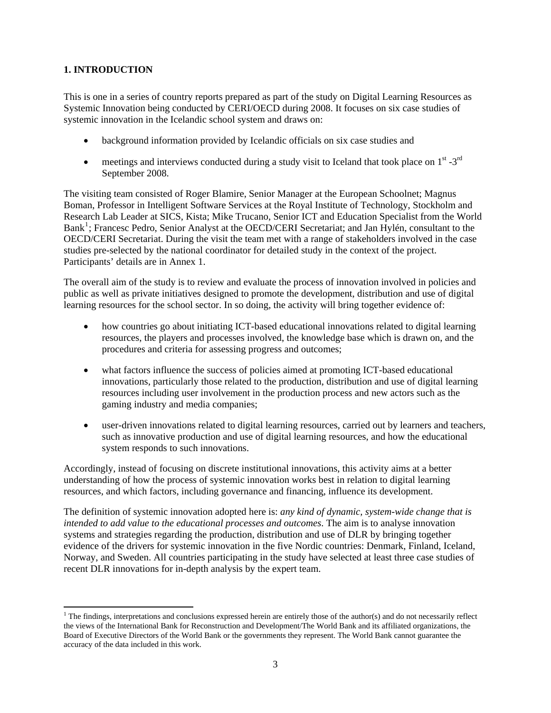## <span id="page-2-0"></span>**1. INTRODUCTION**

This is one in a series of country reports prepared as part of the study on Digital Learning Resources as Systemic Innovation being conducted by CERI/OECD during 2008. It focuses on six case studies of systemic innovation in the Icelandic school system and draws on:

- background information provided by Icelandic officials on six case studies and
- meetings and interviews conducted during a study visit to Iceland that took place on  $1<sup>st</sup> 3<sup>rd</sup>$ September 2008.

The visiting team consisted of Roger Blamire, Senior Manager at the European Schoolnet; Magnus Boman, Professor in Intelligent Software Services at the Royal Institute of Technology, Stockholm and Research Lab Leader at SICS, Kista; Mike Trucano, Senior ICT and Education Specialist from the World Bank<sup>[1](#page-2-1)</sup>; Francesc Pedro, Senior Analyst at the OECD/CERI Secretariat; and Jan Hylén, consultant to the OECD/CERI Secretariat. During the visit the team met with a range of stakeholders involved in the case studies pre-selected by the national coordinator for detailed study in the context of the project. Participants' details are in Annex 1.

The overall aim of the study is to review and evaluate the process of innovation involved in policies and public as well as private initiatives designed to promote the development, distribution and use of digital learning resources for the school sector. In so doing, the activity will bring together evidence of:

- how countries go about initiating ICT-based educational innovations related to digital learning resources, the players and processes involved, the knowledge base which is drawn on, and the procedures and criteria for assessing progress and outcomes;
- what factors influence the success of policies aimed at promoting ICT-based educational innovations, particularly those related to the production, distribution and use of digital learning resources including user involvement in the production process and new actors such as the gaming industry and media companies;
- user-driven innovations related to digital learning resources, carried out by learners and teachers, such as innovative production and use of digital learning resources, and how the educational system responds to such innovations.

Accordingly, instead of focusing on discrete institutional innovations, this activity aims at a better understanding of how the process of systemic innovation works best in relation to digital learning resources, and which factors, including governance and financing, influence its development.

The definition of systemic innovation adopted here is: *any kind of dynamic, system-wide change that is intended to add value to the educational processes and outcomes*. The aim is to analyse innovation systems and strategies regarding the production, distribution and use of DLR by bringing together evidence of the drivers for systemic innovation in the five Nordic countries: Denmark, Finland, Iceland, Norway, and Sweden. All countries participating in the study have selected at least three case studies of recent DLR innovations for in-depth analysis by the expert team.

<span id="page-2-1"></span> $1$  The findings, interpretations and conclusions expressed herein are entirely those of the author(s) and do not necessarily reflect the views of the International Bank for Reconstruction and Development/The World Bank and its affiliated organizations, the Board of Executive Directors of the World Bank or the governments they represent. The World Bank cannot guarantee the accuracy of the data included in this work.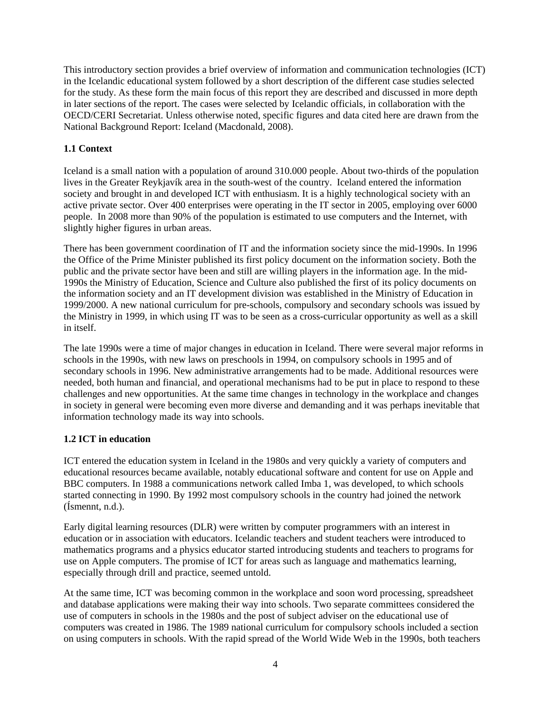<span id="page-3-0"></span>This introductory section provides a brief overview of information and communication technologies (ICT) in the Icelandic educational system followed by a short description of the different case studies selected for the study. As these form the main focus of this report they are described and discussed in more depth in later sections of the report. The cases were selected by Icelandic officials, in collaboration with the OECD/CERI Secretariat. Unless otherwise noted, specific figures and data cited here are drawn from the National Background Report: Iceland (Macdonald, 2008).

## **1.1 Context**

Iceland is a small nation with a population of around 310.000 people. About two-thirds of the population lives in the Greater Reykjavík area in the south-west of the country. Iceland entered the information society and brought in and developed ICT with enthusiasm. It is a highly technological society with an active private sector. Over 400 enterprises were operating in the IT sector in 2005, employing over 6000 people. In 2008 more than 90% of the population is estimated to use computers and the Internet, with slightly higher figures in urban areas.

There has been government coordination of IT and the information society since the mid-1990s. In 1996 the Office of the Prime Minister published its first policy document on the information society. Both the public and the private sector have been and still are willing players in the information age. In the mid-1990s the Ministry of Education, Science and Culture also published the first of its policy documents on the information society and an IT development division was established in the Ministry of Education in 1999/2000. A new national curriculum for pre-schools, compulsory and secondary schools was issued by the Ministry in 1999, in which using IT was to be seen as a cross-curricular opportunity as well as a skill in itself.

The late 1990s were a time of major changes in education in Iceland. There were several major reforms in schools in the 1990s, with new laws on preschools in 1994, on compulsory schools in 1995 and of secondary schools in 1996. New administrative arrangements had to be made. Additional resources were needed, both human and financial, and operational mechanisms had to be put in place to respond to these challenges and new opportunities. At the same time changes in technology in the workplace and changes in society in general were becoming even more diverse and demanding and it was perhaps inevitable that information technology made its way into schools.

### **1.2 ICT in education**

ICT entered the education system in Iceland in the 1980s and very quickly a variety of computers and educational resources became available, notably educational software and content for use on Apple and BBC computers. In 1988 a communications network called Imba 1, was developed, to which schools started connecting in 1990. By 1992 most compulsory schools in the country had joined the network (Ísmennt, n.d.).

Early digital learning resources (DLR) were written by computer programmers with an interest in education or in association with educators. Icelandic teachers and student teachers were introduced to mathematics programs and a physics educator started introducing students and teachers to programs for use on Apple computers. The promise of ICT for areas such as language and mathematics learning, especially through drill and practice, seemed untold.

At the same time, ICT was becoming common in the workplace and soon word processing, spreadsheet and database applications were making their way into schools. Two separate committees considered the use of computers in schools in the 1980s and the post of subject adviser on the educational use of computers was created in 1986. The 1989 national curriculum for compulsory schools included a section on using computers in schools. With the rapid spread of the World Wide Web in the 1990s, both teachers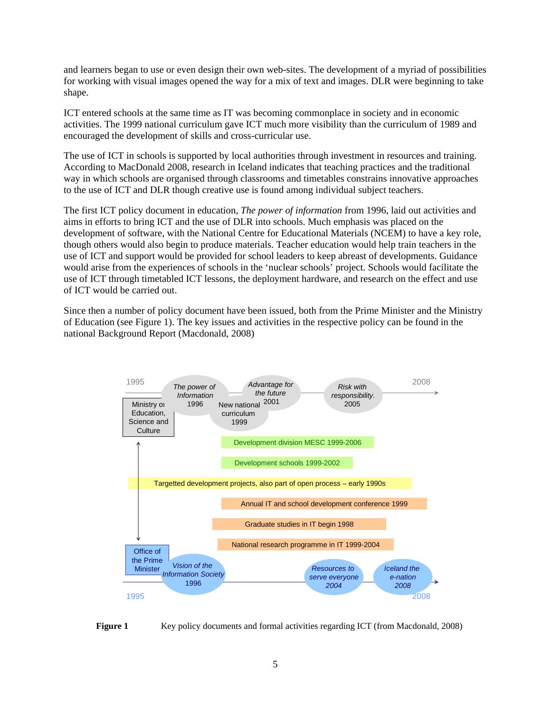and learners began to use or even design their own web-sites. The development of a myriad of possibilities for working with visual images opened the way for a mix of text and images. DLR were beginning to take shape.

ICT entered schools at the same time as IT was becoming commonplace in society and in economic activities. The 1999 national curriculum gave ICT much more visibility than the curriculum of 1989 and encouraged the development of skills and cross-curricular use.

The use of ICT in schools is supported by local authorities through investment in resources and training. According to MacDonald 2008, research in Iceland indicates that teaching practices and the traditional way in which schools are organised through classrooms and timetables constrains innovative approaches to the use of ICT and DLR though creative use is found among individual subject teachers.

The first ICT policy document in education, *The power of information* from 1996, laid out activities and aims in efforts to bring ICT and the use of DLR into schools. Much emphasis was placed on the development of software, with the National Centre for Educational Materials (NCEM) to have a key role, though others would also begin to produce materials. Teacher education would help train teachers in the use of ICT and support would be provided for school leaders to keep abreast of developments. Guidance would arise from the experiences of schools in the 'nuclear schools' project. Schools would facilitate the use of ICT through timetabled ICT lessons, the deployment hardware, and research on the effect and use of ICT would be carried out.

Since then a number of policy document have been issued, both from the Prime Minister and the Ministry of Education (see Figure 1). The key issues and activities in the respective policy can be found in the national Background Report (Macdonald, 2008)



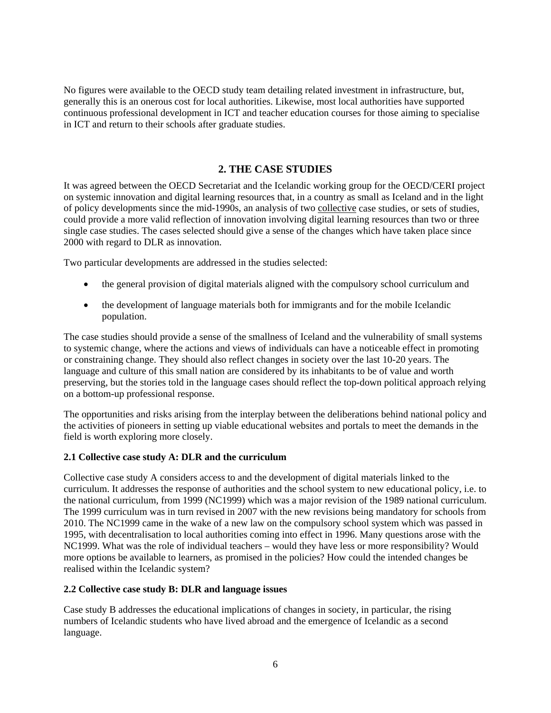<span id="page-5-0"></span>No figures were available to the OECD study team detailing related investment in infrastructure, but, generally this is an onerous cost for local authorities. Likewise, most local authorities have supported continuous professional development in ICT and teacher education courses for those aiming to specialise in ICT and return to their schools after graduate studies.

## **2. THE CASE STUDIES**

It was agreed between the OECD Secretariat and the Icelandic working group for the OECD/CERI project on systemic innovation and digital learning resources that, in a country as small as Iceland and in the light of policy developments since the mid-1990s, an analysis of two collective case studies, or sets of studies, could provide a more valid reflection of innovation involving digital learning resources than two or three single case studies. The cases selected should give a sense of the changes which have taken place since 2000 with regard to DLR as innovation.

Two particular developments are addressed in the studies selected:

- the general provision of digital materials aligned with the compulsory school curriculum and
- the development of language materials both for immigrants and for the mobile Icelandic population.

The case studies should provide a sense of the smallness of Iceland and the vulnerability of small systems to systemic change, where the actions and views of individuals can have a noticeable effect in promoting or constraining change. They should also reflect changes in society over the last 10-20 years. The language and culture of this small nation are considered by its inhabitants to be of value and worth preserving, but the stories told in the language cases should reflect the top-down political approach relying on a bottom-up professional response.

The opportunities and risks arising from the interplay between the deliberations behind national policy and the activities of pioneers in setting up viable educational websites and portals to meet the demands in the field is worth exploring more closely.

#### **2.1 Collective case study A: DLR and the curriculum**

Collective case study A considers access to and the development of digital materials linked to the curriculum. It addresses the response of authorities and the school system to new educational policy, i.e. to the national curriculum, from 1999 (NC1999) which was a major revision of the 1989 national curriculum. The 1999 curriculum was in turn revised in 2007 with the new revisions being mandatory for schools from 2010. The NC1999 came in the wake of a new law on the compulsory school system which was passed in 1995, with decentralisation to local authorities coming into effect in 1996. Many questions arose with the NC1999. What was the role of individual teachers – would they have less or more responsibility? Would more options be available to learners, as promised in the policies? How could the intended changes be realised within the Icelandic system?

#### **2.2 Collective case study B: DLR and language issues**

Case study B addresses the educational implications of changes in society, in particular, the rising numbers of Icelandic students who have lived abroad and the emergence of Icelandic as a second language.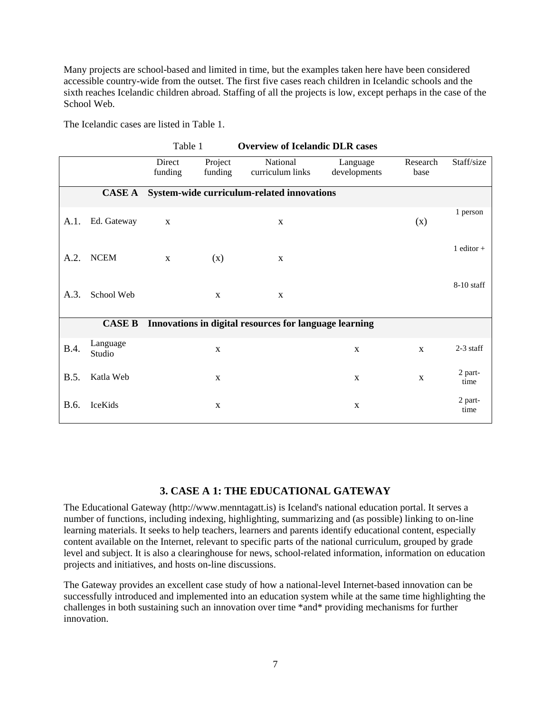<span id="page-6-0"></span>Many projects are school-based and limited in time, but the examples taken here have been considered accessible country-wide from the outset. The first five cases reach children in Icelandic schools and the sixth reaches Icelandic children abroad. Staffing of all the projects is low, except perhaps in the case of the School Web.

| The Icelandic cases are listed in Table 1. |  |
|--------------------------------------------|--|
|                                            |  |

|             |                    | Table 1           |                    | <b>Overview of Icelandic DLR cases</b>                 |                          |                  |                 |
|-------------|--------------------|-------------------|--------------------|--------------------------------------------------------|--------------------------|------------------|-----------------|
|             |                    | Direct<br>funding | Project<br>funding | National<br>curriculum links                           | Language<br>developments | Research<br>base | Staff/size      |
|             | <b>CASE A</b>      |                   |                    | System-wide curriculum-related innovations             |                          |                  |                 |
| A.1.        | Ed. Gateway        | $\mathbf X$       |                    | $\mathbf X$                                            |                          | (x)              | 1 person        |
| A.2.        | <b>NCEM</b>        | $\mathbf{X}$      | (x)                | X                                                      |                          |                  | 1 editor $+$    |
| A.3.        | School Web         |                   | $\mathbf X$        | $\mathbf X$                                            |                          |                  | $8-10$ staff    |
|             | <b>CASE B</b>      |                   |                    | Innovations in digital resources for language learning |                          |                  |                 |
| <b>B.4.</b> | Language<br>Studio |                   | $\mathbf X$        |                                                        | $\mathbf X$              | $\mathbf X$      | $2-3$ staff     |
| B.5.        | Katla Web          |                   | X                  |                                                        | $\mathbf X$              | $\mathbf X$      | 2 part-<br>time |
| B.6.        | IceKids            |                   | $\mathbf X$        |                                                        | $\mathbf X$              |                  | 2 part-<br>time |

### **3. CASE A 1: THE EDUCATIONAL GATEWAY**

The Educational Gateway (http://www.menntagatt.is) is Iceland's national education portal. It serves a number of functions, including indexing, highlighting, summarizing and (as possible) linking to on-line learning materials. It seeks to help teachers, learners and parents identify educational content, especially content available on the Internet, relevant to specific parts of the national curriculum, grouped by grade level and subject. It is also a clearinghouse for news, school-related information, information on education projects and initiatives, and hosts on-line discussions.

The Gateway provides an excellent case study of how a national-level Internet-based innovation can be successfully introduced and implemented into an education system while at the same time highlighting the challenges in both sustaining such an innovation over time \*and\* providing mechanisms for further innovation.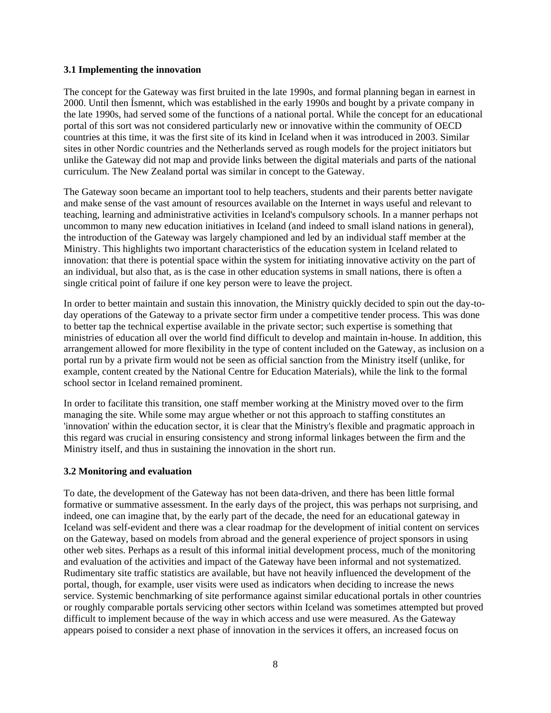#### <span id="page-7-0"></span>**3.1 Implementing the innovation**

The concept for the Gateway was first bruited in the late 1990s, and formal planning began in earnest in 2000. Until then Ísmennt, which was established in the early 1990s and bought by a private company in the late 1990s, had served some of the functions of a national portal. While the concept for an educational portal of this sort was not considered particularly new or innovative within the community of OECD countries at this time, it was the first site of its kind in Iceland when it was introduced in 2003. Similar sites in other Nordic countries and the Netherlands served as rough models for the project initiators but unlike the Gateway did not map and provide links between the digital materials and parts of the national curriculum. The New Zealand portal was similar in concept to the Gateway.

The Gateway soon became an important tool to help teachers, students and their parents better navigate and make sense of the vast amount of resources available on the Internet in ways useful and relevant to teaching, learning and administrative activities in Iceland's compulsory schools. In a manner perhaps not uncommon to many new education initiatives in Iceland (and indeed to small island nations in general), the introduction of the Gateway was largely championed and led by an individual staff member at the Ministry. This highlights two important characteristics of the education system in Iceland related to innovation: that there is potential space within the system for initiating innovative activity on the part of an individual, but also that, as is the case in other education systems in small nations, there is often a single critical point of failure if one key person were to leave the project.

In order to better maintain and sustain this innovation, the Ministry quickly decided to spin out the day-today operations of the Gateway to a private sector firm under a competitive tender process. This was done to better tap the technical expertise available in the private sector; such expertise is something that ministries of education all over the world find difficult to develop and maintain in-house. In addition, this arrangement allowed for more flexibility in the type of content included on the Gateway, as inclusion on a portal run by a private firm would not be seen as official sanction from the Ministry itself (unlike, for example, content created by the National Centre for Education Materials), while the link to the formal school sector in Iceland remained prominent.

In order to facilitate this transition, one staff member working at the Ministry moved over to the firm managing the site. While some may argue whether or not this approach to staffing constitutes an 'innovation' within the education sector, it is clear that the Ministry's flexible and pragmatic approach in this regard was crucial in ensuring consistency and strong informal linkages between the firm and the Ministry itself, and thus in sustaining the innovation in the short run.

#### **3.2 Monitoring and evaluation**

To date, the development of the Gateway has not been data-driven, and there has been little formal formative or summative assessment. In the early days of the project, this was perhaps not surprising, and indeed, one can imagine that, by the early part of the decade, the need for an educational gateway in Iceland was self-evident and there was a clear roadmap for the development of initial content on services on the Gateway, based on models from abroad and the general experience of project sponsors in using other web sites. Perhaps as a result of this informal initial development process, much of the monitoring and evaluation of the activities and impact of the Gateway have been informal and not systematized. Rudimentary site traffic statistics are available, but have not heavily influenced the development of the portal, though, for example, user visits were used as indicators when deciding to increase the news service. Systemic benchmarking of site performance against similar educational portals in other countries or roughly comparable portals servicing other sectors within Iceland was sometimes attempted but proved difficult to implement because of the way in which access and use were measured. As the Gateway appears poised to consider a next phase of innovation in the services it offers, an increased focus on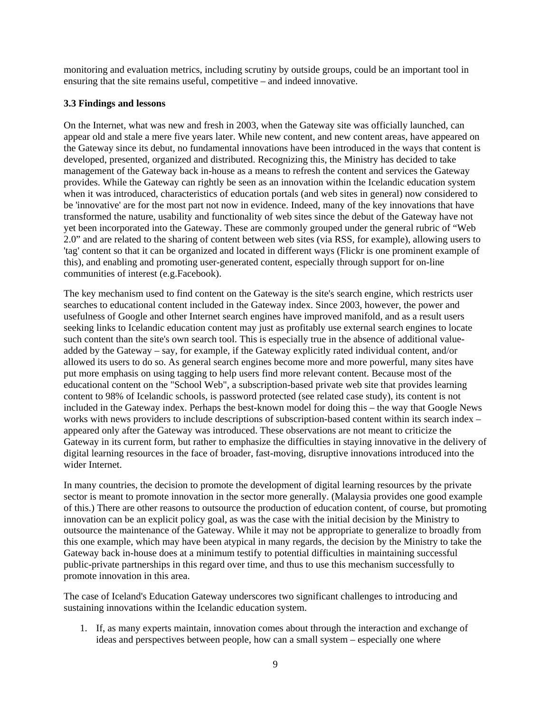<span id="page-8-0"></span>monitoring and evaluation metrics, including scrutiny by outside groups, could be an important tool in ensuring that the site remains useful, competitive – and indeed innovative.

#### **3.3 Findings and lessons**

On the Internet, what was new and fresh in 2003, when the Gateway site was officially launched, can appear old and stale a mere five years later. While new content, and new content areas, have appeared on the Gateway since its debut, no fundamental innovations have been introduced in the ways that content is developed, presented, organized and distributed. Recognizing this, the Ministry has decided to take management of the Gateway back in-house as a means to refresh the content and services the Gateway provides. While the Gateway can rightly be seen as an innovation within the Icelandic education system when it was introduced, characteristics of education portals (and web sites in general) now considered to be 'innovative' are for the most part not now in evidence. Indeed, many of the key innovations that have transformed the nature, usability and functionality of web sites since the debut of the Gateway have not yet been incorporated into the Gateway. These are commonly grouped under the general rubric of "Web 2.0" and are related to the sharing of content between web sites (via RSS, for example), allowing users to 'tag' content so that it can be organized and located in different ways (Flickr is one prominent example of this), and enabling and promoting user-generated content, especially through support for on-line communities of interest (e.g.Facebook).

The key mechanism used to find content on the Gateway is the site's search engine, which restricts user searches to educational content included in the Gateway index. Since 2003, however, the power and usefulness of Google and other Internet search engines have improved manifold, and as a result users seeking links to Icelandic education content may just as profitably use external search engines to locate such content than the site's own search tool. This is especially true in the absence of additional valueadded by the Gateway – say, for example, if the Gateway explicitly rated individual content, and/or allowed its users to do so. As general search engines become more and more powerful, many sites have put more emphasis on using tagging to help users find more relevant content. Because most of the educational content on the "School Web", a subscription-based private web site that provides learning content to 98% of Icelandic schools, is password protected (see related case study), its content is not included in the Gateway index. Perhaps the best-known model for doing this – the way that Google News works with news providers to include descriptions of subscription-based content within its search index – appeared only after the Gateway was introduced. These observations are not meant to criticize the Gateway in its current form, but rather to emphasize the difficulties in staying innovative in the delivery of digital learning resources in the face of broader, fast-moving, disruptive innovations introduced into the wider Internet.

In many countries, the decision to promote the development of digital learning resources by the private sector is meant to promote innovation in the sector more generally. (Malaysia provides one good example of this.) There are other reasons to outsource the production of education content, of course, but promoting innovation can be an explicit policy goal, as was the case with the initial decision by the Ministry to outsource the maintenance of the Gateway. While it may not be appropriate to generalize to broadly from this one example, which may have been atypical in many regards, the decision by the Ministry to take the Gateway back in-house does at a minimum testify to potential difficulties in maintaining successful public-private partnerships in this regard over time, and thus to use this mechanism successfully to promote innovation in this area.

The case of Iceland's Education Gateway underscores two significant challenges to introducing and sustaining innovations within the Icelandic education system.

1. If, as many experts maintain, innovation comes about through the interaction and exchange of ideas and perspectives between people, how can a small system – especially one where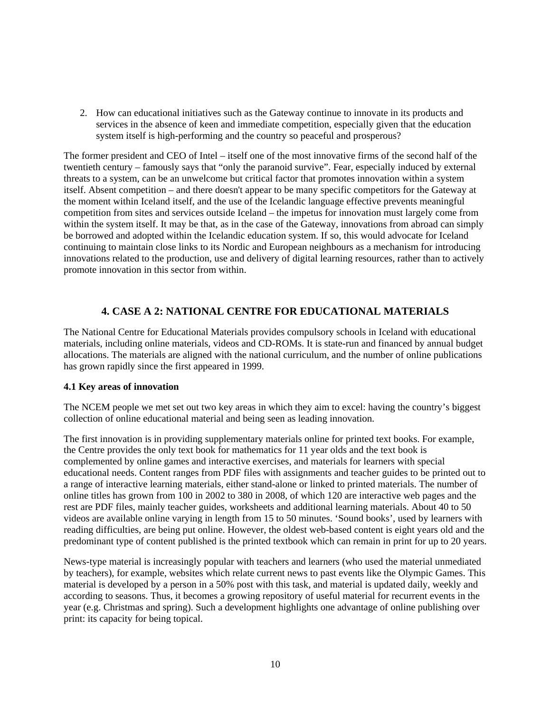<span id="page-9-0"></span>2. How can educational initiatives such as the Gateway continue to innovate in its products and services in the absence of keen and immediate competition, especially given that the education system itself is high-performing and the country so peaceful and prosperous?

The former president and CEO of Intel – itself one of the most innovative firms of the second half of the twentieth century – famously says that "only the paranoid survive". Fear, especially induced by external threats to a system, can be an unwelcome but critical factor that promotes innovation within a system itself. Absent competition – and there doesn't appear to be many specific competitors for the Gateway at the moment within Iceland itself, and the use of the Icelandic language effective prevents meaningful competition from sites and services outside Iceland – the impetus for innovation must largely come from within the system itself. It may be that, as in the case of the Gateway, innovations from abroad can simply be borrowed and adopted within the Icelandic education system. If so, this would advocate for Iceland continuing to maintain close links to its Nordic and European neighbours as a mechanism for introducing innovations related to the production, use and delivery of digital learning resources, rather than to actively promote innovation in this sector from within.

### **4. CASE A 2: NATIONAL CENTRE FOR EDUCATIONAL MATERIALS**

The National Centre for Educational Materials provides compulsory schools in Iceland with educational materials, including online materials, videos and CD-ROMs. It is state-run and financed by annual budget allocations. The materials are aligned with the national curriculum, and the number of online publications has grown rapidly since the first appeared in 1999.

#### **4.1 Key areas of innovation**

The NCEM people we met set out two key areas in which they aim to excel: having the country's biggest collection of online educational material and being seen as leading innovation.

The first innovation is in providing supplementary materials online for printed text books. For example, the Centre provides the only text book for mathematics for 11 year olds and the text book is complemented by online games and interactive exercises, and materials for learners with special educational needs. Content ranges from PDF files with assignments and teacher guides to be printed out to a range of interactive learning materials, either stand-alone or linked to printed materials. The number of online titles has grown from 100 in 2002 to 380 in 2008, of which 120 are interactive web pages and the rest are PDF files, mainly teacher guides, worksheets and additional learning materials. About 40 to 50 videos are available online varying in length from 15 to 50 minutes. 'Sound books', used by learners with reading difficulties, are being put online. However, the oldest web-based content is eight years old and the predominant type of content published is the printed textbook which can remain in print for up to 20 years.

News-type material is increasingly popular with teachers and learners (who used the material unmediated by teachers), for example, websites which relate current news to past events like the Olympic Games. This material is developed by a person in a 50% post with this task, and material is updated daily, weekly and according to seasons. Thus, it becomes a growing repository of useful material for recurrent events in the year (e.g. Christmas and spring). Such a development highlights one advantage of online publishing over print: its capacity for being topical.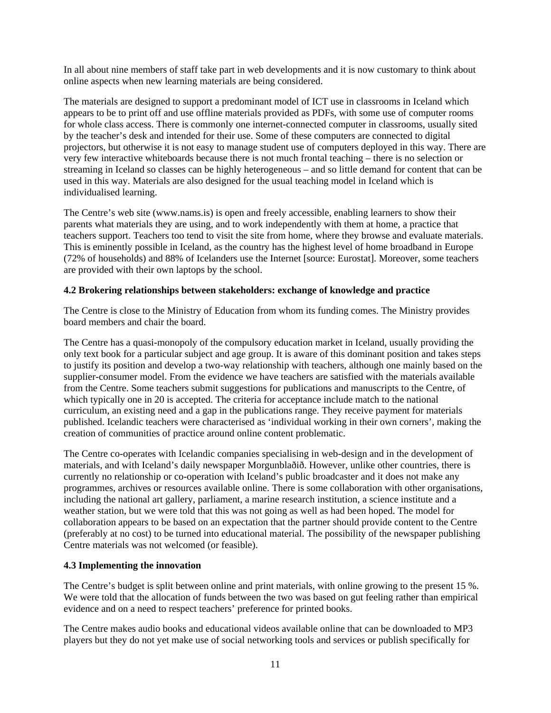<span id="page-10-0"></span>In all about nine members of staff take part in web developments and it is now customary to think about online aspects when new learning materials are being considered.

The materials are designed to support a predominant model of ICT use in classrooms in Iceland which appears to be to print off and use offline materials provided as PDFs, with some use of computer rooms for whole class access. There is commonly one internet-connected computer in classrooms, usually sited by the teacher's desk and intended for their use. Some of these computers are connected to digital projectors, but otherwise it is not easy to manage student use of computers deployed in this way. There are very few interactive whiteboards because there is not much frontal teaching – there is no selection or streaming in Iceland so classes can be highly heterogeneous – and so little demand for content that can be used in this way. Materials are also designed for the usual teaching model in Iceland which is individualised learning.

The Centre's web site (www.nams.is) is open and freely accessible, enabling learners to show their parents what materials they are using, and to work independently with them at home, a practice that teachers support. Teachers too tend to visit the site from home, where they browse and evaluate materials. This is eminently possible in Iceland, as the country has the highest level of home broadband in Europe (72% of households) and 88% of Icelanders use the Internet [source: Eurostat]. Moreover, some teachers are provided with their own laptops by the school.

#### **4.2 Brokering relationships between stakeholders: exchange of knowledge and practice**

The Centre is close to the Ministry of Education from whom its funding comes. The Ministry provides board members and chair the board.

The Centre has a quasi-monopoly of the compulsory education market in Iceland, usually providing the only text book for a particular subject and age group. It is aware of this dominant position and takes steps to justify its position and develop a two-way relationship with teachers, although one mainly based on the supplier-consumer model. From the evidence we have teachers are satisfied with the materials available from the Centre. Some teachers submit suggestions for publications and manuscripts to the Centre, of which typically one in 20 is accepted. The criteria for acceptance include match to the national curriculum, an existing need and a gap in the publications range. They receive payment for materials published. Icelandic teachers were characterised as 'individual working in their own corners', making the creation of communities of practice around online content problematic.

The Centre co-operates with Icelandic companies specialising in web-design and in the development of materials, and with Iceland's daily newspaper Morgunblaðið. However, unlike other countries, there is currently no relationship or co-operation with Iceland's public broadcaster and it does not make any programmes, archives or resources available online. There is some collaboration with other organisations, including the national art gallery, parliament, a marine research institution, a science institute and a weather station, but we were told that this was not going as well as had been hoped. The model for collaboration appears to be based on an expectation that the partner should provide content to the Centre (preferably at no cost) to be turned into educational material. The possibility of the newspaper publishing Centre materials was not welcomed (or feasible).

#### **4.3 Implementing the innovation**

The Centre's budget is split between online and print materials, with online growing to the present 15 %. We were told that the allocation of funds between the two was based on gut feeling rather than empirical evidence and on a need to respect teachers' preference for printed books.

The Centre makes audio books and educational videos available online that can be downloaded to MP3 players but they do not yet make use of social networking tools and services or publish specifically for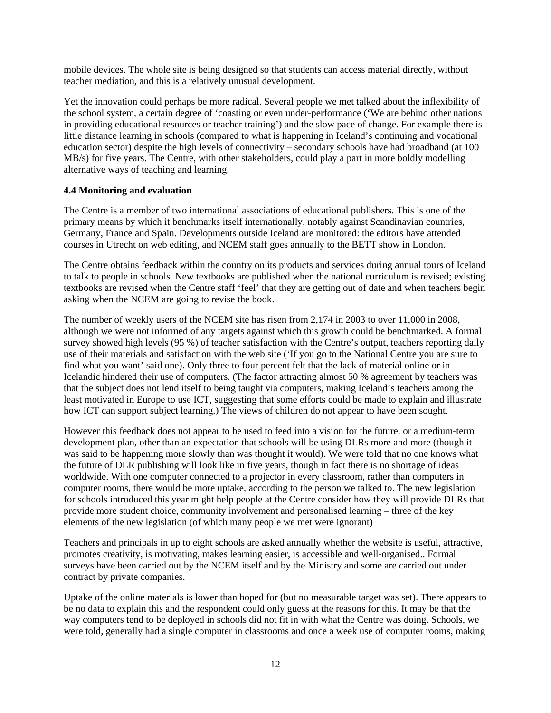<span id="page-11-0"></span>mobile devices. The whole site is being designed so that students can access material directly, without teacher mediation, and this is a relatively unusual development.

Yet the innovation could perhaps be more radical. Several people we met talked about the inflexibility of the school system, a certain degree of 'coasting or even under-performance ('We are behind other nations in providing educational resources or teacher training') and the slow pace of change. For example there is little distance learning in schools (compared to what is happening in Iceland's continuing and vocational education sector) despite the high levels of connectivity – secondary schools have had broadband (at 100 MB/s) for five years. The Centre, with other stakeholders, could play a part in more boldly modelling alternative ways of teaching and learning.

#### **4.4 Monitoring and evaluation**

The Centre is a member of two international associations of educational publishers. This is one of the primary means by which it benchmarks itself internationally, notably against Scandinavian countries, Germany, France and Spain. Developments outside Iceland are monitored: the editors have attended courses in Utrecht on web editing, and NCEM staff goes annually to the BETT show in London.

The Centre obtains feedback within the country on its products and services during annual tours of Iceland to talk to people in schools. New textbooks are published when the national curriculum is revised; existing textbooks are revised when the Centre staff 'feel' that they are getting out of date and when teachers begin asking when the NCEM are going to revise the book.

The number of weekly users of the NCEM site has risen from 2,174 in 2003 to over 11,000 in 2008, although we were not informed of any targets against which this growth could be benchmarked. A formal survey showed high levels (95 %) of teacher satisfaction with the Centre's output, teachers reporting daily use of their materials and satisfaction with the web site ('If you go to the National Centre you are sure to find what you want' said one). Only three to four percent felt that the lack of material online or in Icelandic hindered their use of computers. (The factor attracting almost 50 % agreement by teachers was that the subject does not lend itself to being taught via computers, making Iceland's teachers among the least motivated in Europe to use ICT, suggesting that some efforts could be made to explain and illustrate how ICT can support subject learning.) The views of children do not appear to have been sought.

However this feedback does not appear to be used to feed into a vision for the future, or a medium-term development plan, other than an expectation that schools will be using DLRs more and more (though it was said to be happening more slowly than was thought it would). We were told that no one knows what the future of DLR publishing will look like in five years, though in fact there is no shortage of ideas worldwide. With one computer connected to a projector in every classroom, rather than computers in computer rooms, there would be more uptake, according to the person we talked to. The new legislation for schools introduced this year might help people at the Centre consider how they will provide DLRs that provide more student choice, community involvement and personalised learning – three of the key elements of the new legislation (of which many people we met were ignorant)

Teachers and principals in up to eight schools are asked annually whether the website is useful, attractive, promotes creativity, is motivating, makes learning easier, is accessible and well-organised.. Formal surveys have been carried out by the NCEM itself and by the Ministry and some are carried out under contract by private companies.

Uptake of the online materials is lower than hoped for (but no measurable target was set). There appears to be no data to explain this and the respondent could only guess at the reasons for this. It may be that the way computers tend to be deployed in schools did not fit in with what the Centre was doing. Schools, we were told, generally had a single computer in classrooms and once a week use of computer rooms, making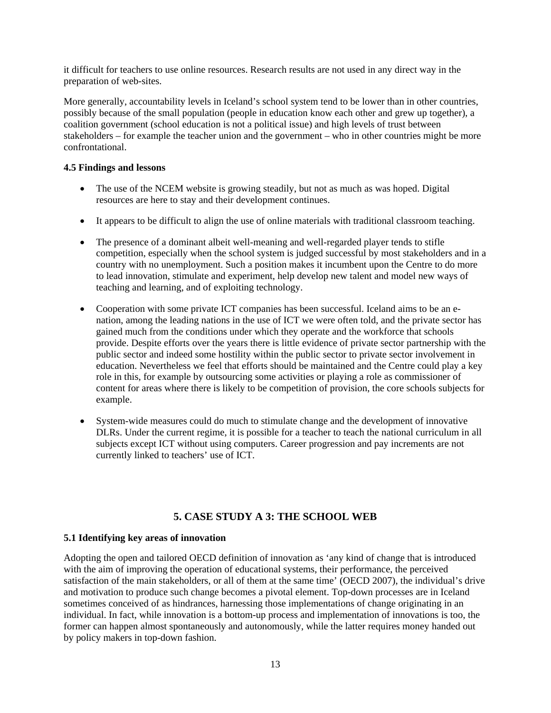<span id="page-12-0"></span>it difficult for teachers to use online resources. Research results are not used in any direct way in the preparation of web-sites.

More generally, accountability levels in Iceland's school system tend to be lower than in other countries, possibly because of the small population (people in education know each other and grew up together), a coalition government (school education is not a political issue) and high levels of trust between stakeholders – for example the teacher union and the government – who in other countries might be more confrontational.

#### **4.5 Findings and lessons**

- The use of the NCEM website is growing steadily, but not as much as was hoped. Digital resources are here to stay and their development continues.
- It appears to be difficult to align the use of online materials with traditional classroom teaching.
- The presence of a dominant albeit well-meaning and well-regarded player tends to stifle competition, especially when the school system is judged successful by most stakeholders and in a country with no unemployment. Such a position makes it incumbent upon the Centre to do more to lead innovation, stimulate and experiment, help develop new talent and model new ways of teaching and learning, and of exploiting technology.
- Cooperation with some private ICT companies has been successful. Iceland aims to be an enation, among the leading nations in the use of ICT we were often told, and the private sector has gained much from the conditions under which they operate and the workforce that schools provide. Despite efforts over the years there is little evidence of private sector partnership with the public sector and indeed some hostility within the public sector to private sector involvement in education. Nevertheless we feel that efforts should be maintained and the Centre could play a key role in this, for example by outsourcing some activities or playing a role as commissioner of content for areas where there is likely to be competition of provision, the core schools subjects for example.
- System-wide measures could do much to stimulate change and the development of innovative DLRs. Under the current regime, it is possible for a teacher to teach the national curriculum in all subjects except ICT without using computers. Career progression and pay increments are not currently linked to teachers' use of ICT.

## **5. CASE STUDY A 3: THE SCHOOL WEB**

#### **5.1 Identifying key areas of innovation**

Adopting the open and tailored OECD definition of innovation as 'any kind of change that is introduced with the aim of improving the operation of educational systems, their performance, the perceived satisfaction of the main stakeholders, or all of them at the same time' (OECD 2007), the individual's drive and motivation to produce such change becomes a pivotal element. Top-down processes are in Iceland sometimes conceived of as hindrances, harnessing those implementations of change originating in an individual. In fact, while innovation is a bottom-up process and implementation of innovations is too, the former can happen almost spontaneously and autonomously, while the latter requires money handed out by policy makers in top-down fashion.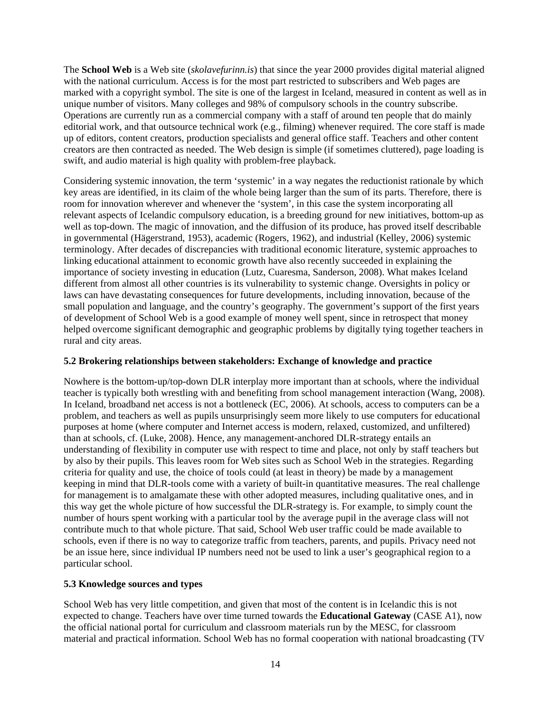<span id="page-13-0"></span>The **School Web** is a Web site (*skolavefurinn.is*) that since the year 2000 provides digital material aligned with the national curriculum. Access is for the most part restricted to subscribers and Web pages are marked with a copyright symbol. The site is one of the largest in Iceland, measured in content as well as in unique number of visitors. Many colleges and 98% of compulsory schools in the country subscribe. Operations are currently run as a commercial company with a staff of around ten people that do mainly editorial work, and that outsource technical work (e.g., filming) whenever required. The core staff is made up of editors, content creators, production specialists and general office staff. Teachers and other content creators are then contracted as needed. The Web design is simple (if sometimes cluttered), page loading is swift, and audio material is high quality with problem-free playback.

Considering systemic innovation, the term 'systemic' in a way negates the reductionist rationale by which key areas are identified, in its claim of the whole being larger than the sum of its parts. Therefore, there is room for innovation wherever and whenever the 'system', in this case the system incorporating all relevant aspects of Icelandic compulsory education, is a breeding ground for new initiatives, bottom-up as well as top-down. The magic of innovation, and the diffusion of its produce, has proved itself describable in governmental (Hägerstrand, 1953), academic (Rogers, 1962), and industrial (Kelley, 2006) systemic terminology. After decades of discrepancies with traditional economic literature, systemic approaches to linking educational attainment to economic growth have also recently succeeded in explaining the importance of society investing in education (Lutz, Cuaresma, Sanderson, 2008). What makes Iceland different from almost all other countries is its vulnerability to systemic change. Oversights in policy or laws can have devastating consequences for future developments, including innovation, because of the small population and language, and the country's geography. The government's support of the first years of development of School Web is a good example of money well spent, since in retrospect that money helped overcome significant demographic and geographic problems by digitally tying together teachers in rural and city areas.

#### **5.2 Brokering relationships between stakeholders: Exchange of knowledge and practice**

Nowhere is the bottom-up/top-down DLR interplay more important than at schools, where the individual teacher is typically both wrestling with and benefiting from school management interaction (Wang, 2008). In Iceland, broadband net access is not a bottleneck (EC, 2006). At schools, access to computers can be a problem, and teachers as well as pupils unsurprisingly seem more likely to use computers for educational purposes at home (where computer and Internet access is modern, relaxed, customized, and unfiltered) than at schools, cf. (Luke, 2008). Hence, any management-anchored DLR-strategy entails an understanding of flexibility in computer use with respect to time and place, not only by staff teachers but by also by their pupils. This leaves room for Web sites such as School Web in the strategies. Regarding criteria for quality and use, the choice of tools could (at least in theory) be made by a management keeping in mind that DLR-tools come with a variety of built-in quantitative measures. The real challenge for management is to amalgamate these with other adopted measures, including qualitative ones, and in this way get the whole picture of how successful the DLR-strategy is. For example, to simply count the number of hours spent working with a particular tool by the average pupil in the average class will not contribute much to that whole picture. That said, School Web user traffic could be made available to schools, even if there is no way to categorize traffic from teachers, parents, and pupils. Privacy need not be an issue here, since individual IP numbers need not be used to link a user's geographical region to a particular school.

#### **5.3 Knowledge sources and types**

School Web has very little competition, and given that most of the content is in Icelandic this is not expected to change. Teachers have over time turned towards the **Educational Gateway** (CASE A1), now the official national portal for curriculum and classroom materials run by the MESC, for classroom material and practical information. School Web has no formal cooperation with national broadcasting (TV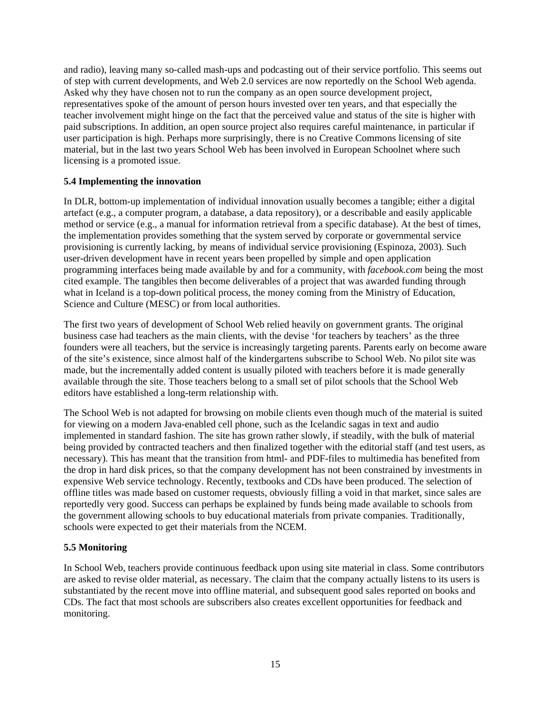<span id="page-14-0"></span>and radio), leaving many so-called mash-ups and podcasting out of their service portfolio. This seems out of step with current developments, and Web 2.0 services are now reportedly on the School Web agenda. Asked why they have chosen not to run the company as an open source development project, representatives spoke of the amount of person hours invested over ten years, and that especially the teacher involvement might hinge on the fact that the perceived value and status of the site is higher with paid subscriptions. In addition, an open source project also requires careful maintenance, in particular if user participation is high. Perhaps more surprisingly, there is no Creative Commons licensing of site material, but in the last two years School Web has been involved in European Schoolnet where such licensing is a promoted issue.

#### **5.4 Implementing the innovation**

In DLR, bottom-up implementation of individual innovation usually becomes a tangible; either a digital artefact (e.g., a computer program, a database, a data repository), or a describable and easily applicable method or service (e.g., a manual for information retrieval from a specific database). At the best of times, the implementation provides something that the system served by corporate or governmental service provisioning is currently lacking, by means of individual service provisioning (Espinoza, 2003). Such user-driven development have in recent years been propelled by simple and open application programming interfaces being made available by and for a community, with *facebook.com* being the most cited example. The tangibles then become deliverables of a project that was awarded funding through what in Iceland is a top-down political process, the money coming from the Ministry of Education, Science and Culture (MESC) or from local authorities.

The first two years of development of School Web relied heavily on government grants. The original business case had teachers as the main clients, with the devise 'for teachers by teachers' as the three founders were all teachers, but the service is increasingly targeting parents. Parents early on become aware of the site's existence, since almost half of the kindergartens subscribe to School Web. No pilot site was made, but the incrementally added content is usually piloted with teachers before it is made generally available through the site. Those teachers belong to a small set of pilot schools that the School Web editors have established a long-term relationship with.

The School Web is not adapted for browsing on mobile clients even though much of the material is suited for viewing on a modern Java-enabled cell phone, such as the Icelandic sagas in text and audio implemented in standard fashion. The site has grown rather slowly, if steadily, with the bulk of material being provided by contracted teachers and then finalized together with the editorial staff (and test users, as necessary). This has meant that the transition from html- and PDF-files to multimedia has benefited from the drop in hard disk prices, so that the company development has not been constrained by investments in expensive Web service technology. Recently, textbooks and CDs have been produced. The selection of offline titles was made based on customer requests, obviously filling a void in that market, since sales are reportedly very good. Success can perhaps be explained by funds being made available to schools from the government allowing schools to buy educational materials from private companies. Traditionally, schools were expected to get their materials from the NCEM.

### **5.5 Monitoring**

In School Web, teachers provide continuous feedback upon using site material in class. Some contributors are asked to revise older material, as necessary. The claim that the company actually listens to its users is substantiated by the recent move into offline material, and subsequent good sales reported on books and CDs. The fact that most schools are subscribers also creates excellent opportunities for feedback and monitoring.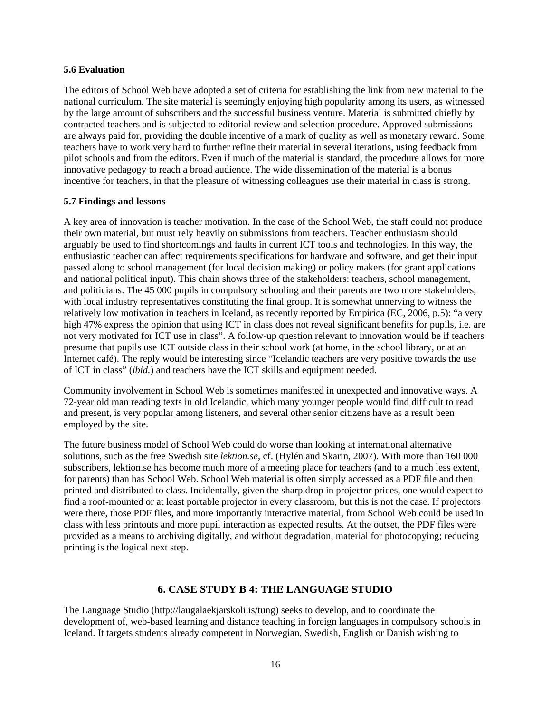#### <span id="page-15-0"></span>**5.6 Evaluation**

The editors of School Web have adopted a set of criteria for establishing the link from new material to the national curriculum. The site material is seemingly enjoying high popularity among its users, as witnessed by the large amount of subscribers and the successful business venture. Material is submitted chiefly by contracted teachers and is subjected to editorial review and selection procedure. Approved submissions are always paid for, providing the double incentive of a mark of quality as well as monetary reward. Some teachers have to work very hard to further refine their material in several iterations, using feedback from pilot schools and from the editors. Even if much of the material is standard, the procedure allows for more innovative pedagogy to reach a broad audience. The wide dissemination of the material is a bonus incentive for teachers, in that the pleasure of witnessing colleagues use their material in class is strong.

#### **5.7 Findings and lessons**

A key area of innovation is teacher motivation. In the case of the School Web, the staff could not produce their own material, but must rely heavily on submissions from teachers. Teacher enthusiasm should arguably be used to find shortcomings and faults in current ICT tools and technologies. In this way, the enthusiastic teacher can affect requirements specifications for hardware and software, and get their input passed along to school management (for local decision making) or policy makers (for grant applications and national political input). This chain shows three of the stakeholders: teachers, school management, and politicians. The 45 000 pupils in compulsory schooling and their parents are two more stakeholders, with local industry representatives constituting the final group. It is somewhat unnerving to witness the relatively low motivation in teachers in Iceland, as recently reported by Empirica (EC, 2006, p.5): "a very high 47% express the opinion that using ICT in class does not reveal significant benefits for pupils, i.e. are not very motivated for ICT use in class". A follow-up question relevant to innovation would be if teachers presume that pupils use ICT outside class in their school work (at home, in the school library, or at an Internet café). The reply would be interesting since "Icelandic teachers are very positive towards the use of ICT in class" (*ibid.*) and teachers have the ICT skills and equipment needed.

Community involvement in School Web is sometimes manifested in unexpected and innovative ways. A 72-year old man reading texts in old Icelandic, which many younger people would find difficult to read and present, is very popular among listeners, and several other senior citizens have as a result been employed by the site.

The future business model of School Web could do worse than looking at international alternative solutions, such as the free Swedish site *lektion.se*, cf. (Hylén and Skarin, 2007). With more than 160 000 subscribers, lektion.se has become much more of a meeting place for teachers (and to a much less extent, for parents) than has School Web. School Web material is often simply accessed as a PDF file and then printed and distributed to class. Incidentally, given the sharp drop in projector prices, one would expect to find a roof-mounted or at least portable projector in every classroom, but this is not the case. If projectors were there, those PDF files, and more importantly interactive material, from School Web could be used in class with less printouts and more pupil interaction as expected results. At the outset, the PDF files were provided as a means to archiving digitally, and without degradation, material for photocopying; reducing printing is the logical next step.

### **6. CASE STUDY B 4: THE LANGUAGE STUDIO**

The Language Studio (http://laugalaekjarskoli.is/tung) seeks to develop, and to coordinate the development of, web-based learning and distance teaching in foreign languages in compulsory schools in Iceland. It targets students already competent in Norwegian, Swedish, English or Danish wishing to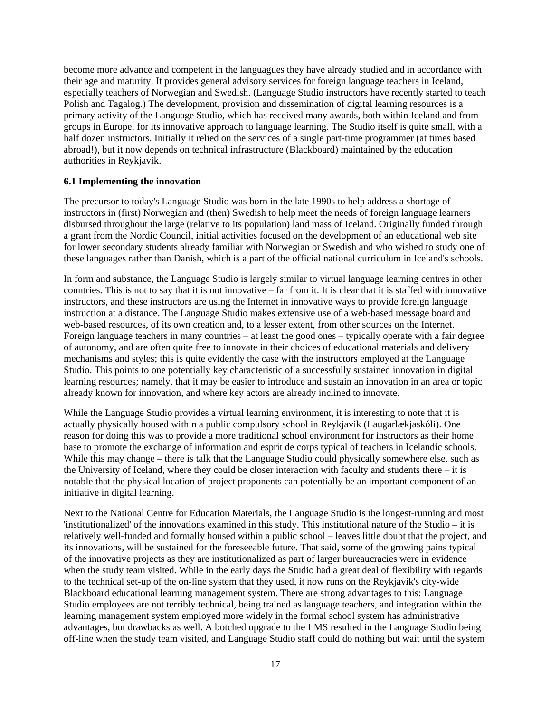<span id="page-16-0"></span>become more advance and competent in the languagues they have already studied and in accordance with their age and maturity. It provides general advisory services for foreign language teachers in Iceland, especially teachers of Norwegian and Swedish. (Language Studio instructors have recently started to teach Polish and Tagalog.) The development, provision and dissemination of digital learning resources is a primary activity of the Language Studio, which has received many awards, both within Iceland and from groups in Europe, for its innovative approach to language learning. The Studio itself is quite small, with a half dozen instructors. Initially it relied on the services of a single part-time programmer (at times based abroad!), but it now depends on technical infrastructure (Blackboard) maintained by the education authorities in Reykjavik.

#### **6.1 Implementing the innovation**

The precursor to today's Language Studio was born in the late 1990s to help address a shortage of instructors in (first) Norwegian and (then) Swedish to help meet the needs of foreign language learners disbursed throughout the large (relative to its population) land mass of Iceland. Originally funded through a grant from the Nordic Council, initial activities focused on the development of an educational web site for lower secondary students already familiar with Norwegian or Swedish and who wished to study one of these languages rather than Danish, which is a part of the official national curriculum in Iceland's schools.

In form and substance, the Language Studio is largely similar to virtual language learning centres in other countries. This is not to say that it is not innovative – far from it. It is clear that it is staffed with innovative instructors, and these instructors are using the Internet in innovative ways to provide foreign language instruction at a distance. The Language Studio makes extensive use of a web-based message board and web-based resources, of its own creation and, to a lesser extent, from other sources on the Internet. Foreign language teachers in many countries – at least the good ones – typically operate with a fair degree of autonomy, and are often quite free to innovate in their choices of educational materials and delivery mechanisms and styles; this is quite evidently the case with the instructors employed at the Language Studio. This points to one potentially key characteristic of a successfully sustained innovation in digital learning resources; namely, that it may be easier to introduce and sustain an innovation in an area or topic already known for innovation, and where key actors are already inclined to innovate.

While the Language Studio provides a virtual learning environment, it is interesting to note that it is actually physically housed within a public compulsory school in Reykjavik (Laugarlækjaskóli). One reason for doing this was to provide a more traditional school environment for instructors as their home base to promote the exchange of information and esprit de corps typical of teachers in Icelandic schools. While this may change – there is talk that the Language Studio could physically somewhere else, such as the University of Iceland, where they could be closer interaction with faculty and students there – it is notable that the physical location of project proponents can potentially be an important component of an initiative in digital learning.

Next to the National Centre for Education Materials, the Language Studio is the longest-running and most 'institutionalized' of the innovations examined in this study. This institutional nature of the Studio – it is relatively well-funded and formally housed within a public school – leaves little doubt that the project, and its innovations, will be sustained for the foreseeable future. That said, some of the growing pains typical of the innovative projects as they are institutionalized as part of larger bureaucracies were in evidence when the study team visited. While in the early days the Studio had a great deal of flexibility with regards to the technical set-up of the on-line system that they used, it now runs on the Reykjavik's city-wide Blackboard educational learning management system. There are strong advantages to this: Language Studio employees are not terribly technical, being trained as language teachers, and integration within the learning management system employed more widely in the formal school system has administrative advantages, but drawbacks as well. A botched upgrade to the LMS resulted in the Language Studio being off-line when the study team visited, and Language Studio staff could do nothing but wait until the system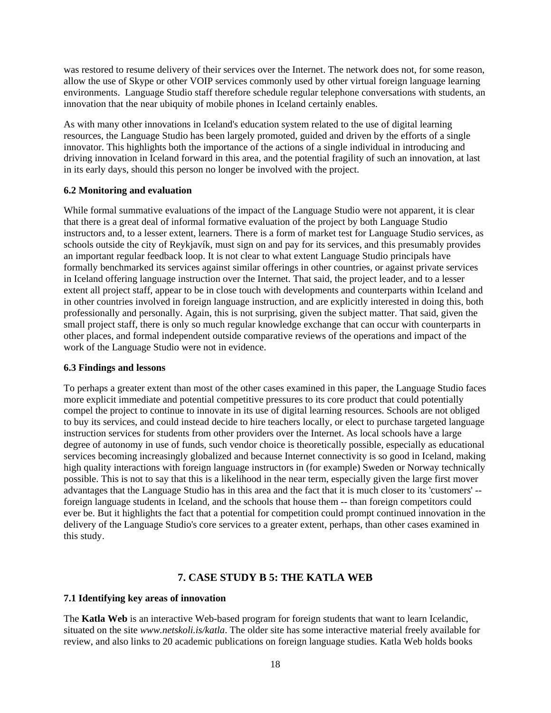<span id="page-17-0"></span>was restored to resume delivery of their services over the Internet. The network does not, for some reason, allow the use of Skype or other VOIP services commonly used by other virtual foreign language learning environments. Language Studio staff therefore schedule regular telephone conversations with students, an innovation that the near ubiquity of mobile phones in Iceland certainly enables.

As with many other innovations in Iceland's education system related to the use of digital learning resources, the Language Studio has been largely promoted, guided and driven by the efforts of a single innovator. This highlights both the importance of the actions of a single individual in introducing and driving innovation in Iceland forward in this area, and the potential fragility of such an innovation, at last in its early days, should this person no longer be involved with the project.

#### **6.2 Monitoring and evaluation**

While formal summative evaluations of the impact of the Language Studio were not apparent, it is clear that there is a great deal of informal formative evaluation of the project by both Language Studio instructors and, to a lesser extent, learners. There is a form of market test for Language Studio services, as schools outside the city of Reykjavík, must sign on and pay for its services, and this presumably provides an important regular feedback loop. It is not clear to what extent Language Studio principals have formally benchmarked its services against similar offerings in other countries, or against private services in Iceland offering language instruction over the Internet. That said, the project leader, and to a lesser extent all project staff, appear to be in close touch with developments and counterparts within Iceland and in other countries involved in foreign language instruction, and are explicitly interested in doing this, both professionally and personally. Again, this is not surprising, given the subject matter. That said, given the small project staff, there is only so much regular knowledge exchange that can occur with counterparts in other places, and formal independent outside comparative reviews of the operations and impact of the work of the Language Studio were not in evidence.

#### **6.3 Findings and lessons**

To perhaps a greater extent than most of the other cases examined in this paper, the Language Studio faces more explicit immediate and potential competitive pressures to its core product that could potentially compel the project to continue to innovate in its use of digital learning resources. Schools are not obliged to buy its services, and could instead decide to hire teachers locally, or elect to purchase targeted language instruction services for students from other providers over the Internet. As local schools have a large degree of autonomy in use of funds, such vendor choice is theoretically possible, especially as educational services becoming increasingly globalized and because Internet connectivity is so good in Iceland, making high quality interactions with foreign language instructors in (for example) Sweden or Norway technically possible. This is not to say that this is a likelihood in the near term, especially given the large first mover advantages that the Language Studio has in this area and the fact that it is much closer to its 'customers' - foreign language students in Iceland, and the schools that house them -- than foreign competitors could ever be. But it highlights the fact that a potential for competition could prompt continued innovation in the delivery of the Language Studio's core services to a greater extent, perhaps, than other cases examined in this study.

## **7. CASE STUDY B 5: THE KATLA WEB**

#### **7.1 Identifying key areas of innovation**

The **Katla Web** is an interactive Web-based program for foreign students that want to learn Icelandic, situated on the site *www.netskoli.is/katla*. The older site has some interactive material freely available for review, and also links to 20 academic publications on foreign language studies. Katla Web holds books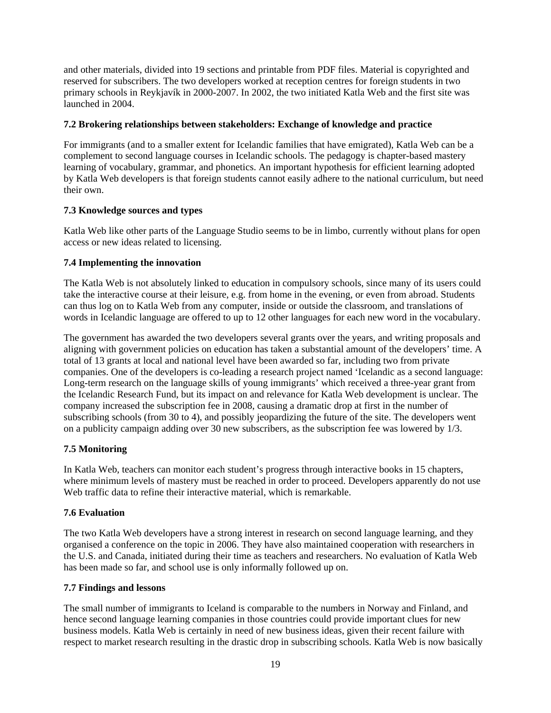<span id="page-18-0"></span>and other materials, divided into 19 sections and printable from PDF files. Material is copyrighted and reserved for subscribers. The two developers worked at reception centres for foreign students in two primary schools in Reykjavík in 2000-2007. In 2002, the two initiated Katla Web and the first site was launched in 2004.

#### **7.2 Brokering relationships between stakeholders: Exchange of knowledge and practice**

For immigrants (and to a smaller extent for Icelandic families that have emigrated), Katla Web can be a complement to second language courses in Icelandic schools. The pedagogy is chapter-based mastery learning of vocabulary, grammar, and phonetics. An important hypothesis for efficient learning adopted by Katla Web developers is that foreign students cannot easily adhere to the national curriculum, but need their own.

#### **7.3 Knowledge sources and types**

Katla Web like other parts of the Language Studio seems to be in limbo, currently without plans for open access or new ideas related to licensing.

#### **7.4 Implementing the innovation**

The Katla Web is not absolutely linked to education in compulsory schools, since many of its users could take the interactive course at their leisure, e.g. from home in the evening, or even from abroad. Students can thus log on to Katla Web from any computer, inside or outside the classroom, and translations of words in Icelandic language are offered to up to 12 other languages for each new word in the vocabulary.

The government has awarded the two developers several grants over the years, and writing proposals and aligning with government policies on education has taken a substantial amount of the developers' time. A total of 13 grants at local and national level have been awarded so far, including two from private companies. One of the developers is co-leading a research project named 'Icelandic as a second language: Long-term research on the language skills of young immigrants' which received a three-year grant from the Icelandic Research Fund, but its impact on and relevance for Katla Web development is unclear. The company increased the subscription fee in 2008, causing a dramatic drop at first in the number of subscribing schools (from 30 to 4), and possibly jeopardizing the future of the site. The developers went on a publicity campaign adding over 30 new subscribers, as the subscription fee was lowered by 1/3.

#### **7.5 Monitoring**

In Katla Web, teachers can monitor each student's progress through interactive books in 15 chapters, where minimum levels of mastery must be reached in order to proceed. Developers apparently do not use Web traffic data to refine their interactive material, which is remarkable.

#### **7.6 Evaluation**

The two Katla Web developers have a strong interest in research on second language learning, and they organised a conference on the topic in 2006. They have also maintained cooperation with researchers in the U.S. and Canada, initiated during their time as teachers and researchers. No evaluation of Katla Web has been made so far, and school use is only informally followed up on.

#### **7.7 Findings and lessons**

The small number of immigrants to Iceland is comparable to the numbers in Norway and Finland, and hence second language learning companies in those countries could provide important clues for new business models. Katla Web is certainly in need of new business ideas, given their recent failure with respect to market research resulting in the drastic drop in subscribing schools. Katla Web is now basically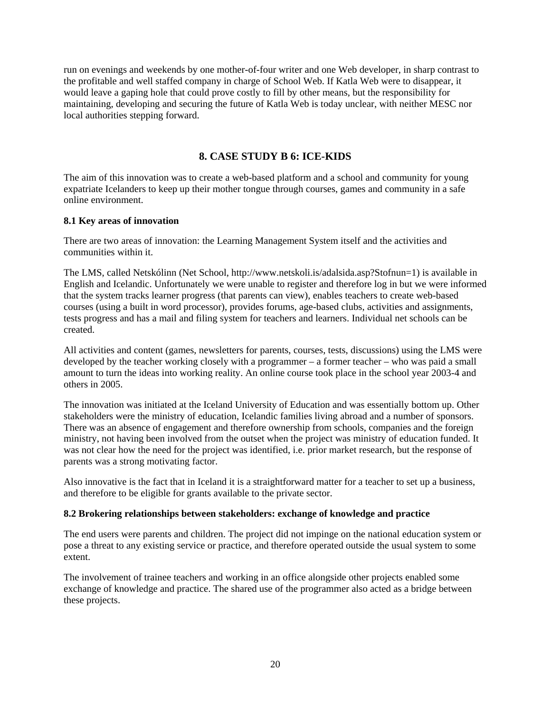<span id="page-19-0"></span>run on evenings and weekends by one mother-of-four writer and one Web developer, in sharp contrast to the profitable and well staffed company in charge of School Web. If Katla Web were to disappear, it would leave a gaping hole that could prove costly to fill by other means, but the responsibility for maintaining, developing and securing the future of Katla Web is today unclear, with neither MESC nor local authorities stepping forward.

## **8. CASE STUDY B 6: ICE-KIDS**

The aim of this innovation was to create a web-based platform and a school and community for young expatriate Icelanders to keep up their mother tongue through courses, games and community in a safe online environment.

#### **8.1 Key areas of innovation**

There are two areas of innovation: the Learning Management System itself and the activities and communities within it.

The LMS, called Netskólinn (Net School, http://www.netskoli.is/adalsida.asp?Stofnun=1) is available in English and Icelandic. Unfortunately we were unable to register and therefore log in but we were informed that the system tracks learner progress (that parents can view), enables teachers to create web-based courses (using a built in word processor), provides forums, age-based clubs, activities and assignments, tests progress and has a mail and filing system for teachers and learners. Individual net schools can be created.

All activities and content (games, newsletters for parents, courses, tests, discussions) using the LMS were developed by the teacher working closely with a programmer – a former teacher – who was paid a small amount to turn the ideas into working reality. An online course took place in the school year 2003-4 and others in 2005.

The innovation was initiated at the Iceland University of Education and was essentially bottom up. Other stakeholders were the ministry of education, Icelandic families living abroad and a number of sponsors. There was an absence of engagement and therefore ownership from schools, companies and the foreign ministry, not having been involved from the outset when the project was ministry of education funded. It was not clear how the need for the project was identified, i.e. prior market research, but the response of parents was a strong motivating factor.

Also innovative is the fact that in Iceland it is a straightforward matter for a teacher to set up a business, and therefore to be eligible for grants available to the private sector.

#### **8.2 Brokering relationships between stakeholders: exchange of knowledge and practice**

The end users were parents and children. The project did not impinge on the national education system or pose a threat to any existing service or practice, and therefore operated outside the usual system to some extent.

The involvement of trainee teachers and working in an office alongside other projects enabled some exchange of knowledge and practice. The shared use of the programmer also acted as a bridge between these projects.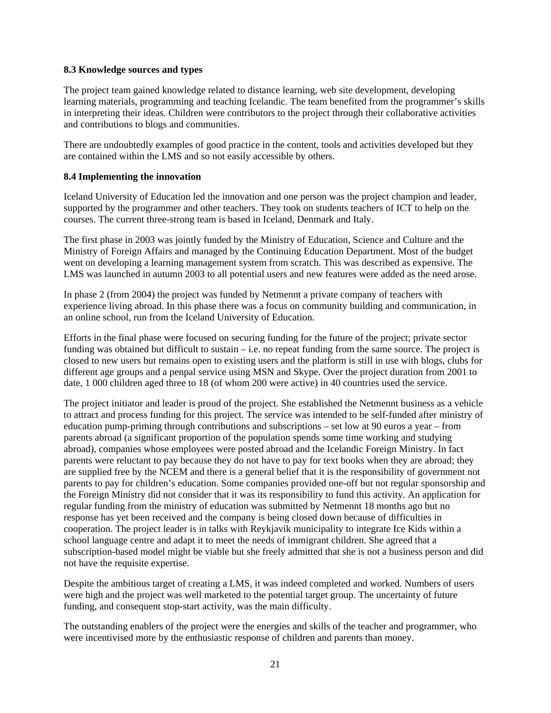#### <span id="page-20-0"></span>**8.3 Knowledge sources and types**

The project team gained knowledge related to distance learning, web site development, developing learning materials, programming and teaching Icelandic. The team benefited from the programmer's skills in interpreting their ideas. Children were contributors to the project through their collaborative activities and contributions to blogs and communities.

There are undoubtedly examples of good practice in the content, tools and activities developed but they are contained within the LMS and so not easily accessible by others.

#### **8.4 Implementing the innovation**

Iceland University of Education led the innovation and one person was the project champion and leader, supported by the programmer and other teachers. They took on students teachers of ICT to help on the courses. The current three-strong team is based in Iceland, Denmark and Italy.

The first phase in 2003 was jointly funded by the Ministry of Education, Science and Culture and the Ministry of Foreign Affairs and managed by the Continuing Education Department. Most of the budget went on developing a learning management system from scratch. This was described as expensive. The LMS was launched in autumn 2003 to all potential users and new features were added as the need arose.

In phase 2 (from 2004) the project was funded by Netmennt a private company of teachers with experience living abroad. In this phase there was a focus on community building and communication, in an online school, run from the Iceland University of Education.

Efforts in the final phase were focused on securing funding for the future of the project; private sector funding was obtained but difficult to sustain – i.e. no repeat funding from the same source. The project is closed to new users but remains open to existing users and the platform is still in use with blogs, clubs for different age groups and a penpal service using MSN and Skype. Over the project duration from 2001 to date, 1 000 children aged three to 18 (of whom 200 were active) in 40 countries used the service.

The project initiator and leader is proud of the project. She established the Netmennt business as a vehicle to attract and process funding for this project. The service was intended to be self-funded after ministry of education pump-priming through contributions and subscriptions – set low at 90 euros a year – from parents abroad (a significant proportion of the population spends some time working and studying abroad), companies whose employees were posted abroad and the Icelandic Foreign Ministry. In fact parents were reluctant to pay because they do not have to pay for text books when they are abroad; they are supplied free by the NCEM and there is a general belief that it is the responsibility of government not parents to pay for children's education. Some companies provided one-off but not regular sponsorship and the Foreign Ministry did not consider that it was its responsibility to fund this activity. An application for regular funding from the ministry of education was submitted by Netmennt 18 months ago but no response has yet been received and the company is being closed down because of difficulties in cooperation. The project leader is in talks with Reykjavik municipality to integrate Ice Kids within a school language centre and adapt it to meet the needs of immigrant children. She agreed that a subscription-based model might be viable but she freely admitted that she is not a business person and did not have the requisite expertise.

Despite the ambitious target of creating a LMS, it was indeed completed and worked. Numbers of users were high and the project was well marketed to the potential target group. The uncertainty of future funding, and consequent stop-start activity, was the main difficulty.

The outstanding enablers of the project were the energies and skills of the teacher and programmer, who were incentivised more by the enthusiastic response of children and parents than money.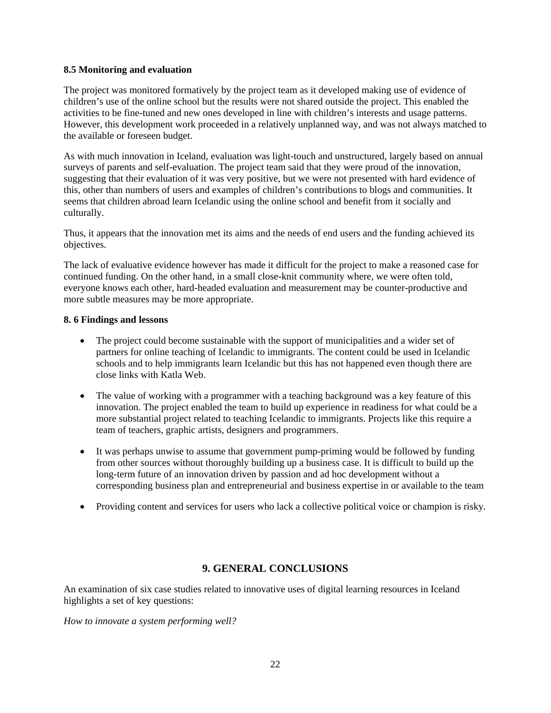#### <span id="page-21-0"></span>**8.5 Monitoring and evaluation**

The project was monitored formatively by the project team as it developed making use of evidence of children's use of the online school but the results were not shared outside the project. This enabled the activities to be fine-tuned and new ones developed in line with children's interests and usage patterns. However, this development work proceeded in a relatively unplanned way, and was not always matched to the available or foreseen budget.

As with much innovation in Iceland, evaluation was light-touch and unstructured, largely based on annual surveys of parents and self-evaluation. The project team said that they were proud of the innovation, suggesting that their evaluation of it was very positive, but we were not presented with hard evidence of this, other than numbers of users and examples of children's contributions to blogs and communities. It seems that children abroad learn Icelandic using the online school and benefit from it socially and culturally.

Thus, it appears that the innovation met its aims and the needs of end users and the funding achieved its objectives.

The lack of evaluative evidence however has made it difficult for the project to make a reasoned case for continued funding. On the other hand, in a small close-knit community where, we were often told, everyone knows each other, hard-headed evaluation and measurement may be counter-productive and more subtle measures may be more appropriate.

#### **8. 6 Findings and lessons**

- The project could become sustainable with the support of municipalities and a wider set of partners for online teaching of Icelandic to immigrants. The content could be used in Icelandic schools and to help immigrants learn Icelandic but this has not happened even though there are close links with Katla Web.
- The value of working with a programmer with a teaching background was a key feature of this innovation. The project enabled the team to build up experience in readiness for what could be a more substantial project related to teaching Icelandic to immigrants. Projects like this require a team of teachers, graphic artists, designers and programmers.
- It was perhaps unwise to assume that government pump-priming would be followed by funding from other sources without thoroughly building up a business case. It is difficult to build up the long-term future of an innovation driven by passion and ad hoc development without a corresponding business plan and entrepreneurial and business expertise in or available to the team
- Providing content and services for users who lack a collective political voice or champion is risky.

### **9. GENERAL CONCLUSIONS**

An examination of six case studies related to innovative uses of digital learning resources in Iceland highlights a set of key questions:

*How to innovate a system performing well?*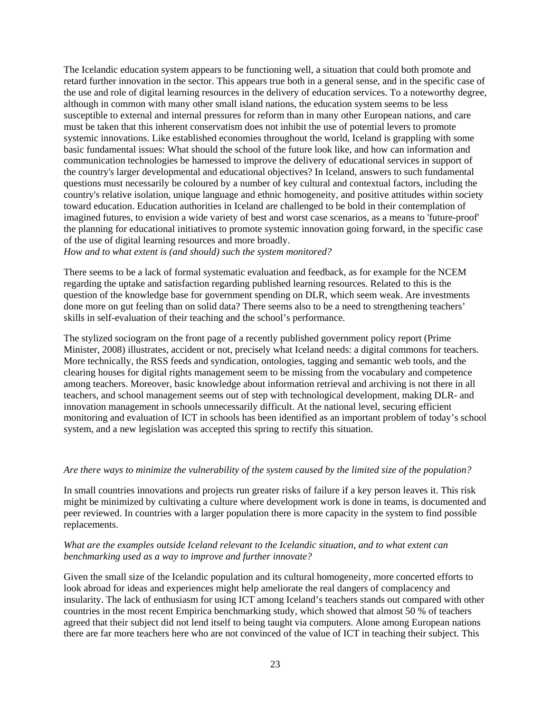The Icelandic education system appears to be functioning well, a situation that could both promote and retard further innovation in the sector. This appears true both in a general sense, and in the specific case of the use and role of digital learning resources in the delivery of education services. To a noteworthy degree, although in common with many other small island nations, the education system seems to be less susceptible to external and internal pressures for reform than in many other European nations, and care must be taken that this inherent conservatism does not inhibit the use of potential levers to promote systemic innovations. Like established economies throughout the world, Iceland is grappling with some basic fundamental issues: What should the school of the future look like, and how can information and communication technologies be harnessed to improve the delivery of educational services in support of the country's larger developmental and educational objectives? In Iceland, answers to such fundamental questions must necessarily be coloured by a number of key cultural and contextual factors, including the country's relative isolation, unique language and ethnic homogeneity, and positive attitudes within society toward education. Education authorities in Iceland are challenged to be bold in their contemplation of imagined futures, to envision a wide variety of best and worst case scenarios, as a means to 'future-proof' the planning for educational initiatives to promote systemic innovation going forward, in the specific case of the use of digital learning resources and more broadly.

*How and to what extent is (and should) such the system monitored?*

There seems to be a lack of formal systematic evaluation and feedback, as for example for the NCEM regarding the uptake and satisfaction regarding published learning resources. Related to this is the question of the knowledge base for government spending on DLR, which seem weak. Are investments done more on gut feeling than on solid data? There seems also to be a need to strengthening teachers' skills in self-evaluation of their teaching and the school's performance.

The stylized sociogram on the front page of a recently published government policy report (Prime Minister, 2008) illustrates, accident or not, precisely what Iceland needs: a digital commons for teachers. More technically, the RSS feeds and syndication, ontologies, tagging and semantic web tools, and the clearing houses for digital rights management seem to be missing from the vocabulary and competence among teachers. Moreover, basic knowledge about information retrieval and archiving is not there in all teachers, and school management seems out of step with technological development, making DLR- and innovation management in schools unnecessarily difficult. At the national level, securing efficient monitoring and evaluation of ICT in schools has been identified as an important problem of today's school system, and a new legislation was accepted this spring to rectify this situation.

#### *Are there ways to minimize the vulnerability of the system caused by the limited size of the population?*

In small countries innovations and projects run greater risks of failure if a key person leaves it. This risk might be minimized by cultivating a culture where development work is done in teams, is documented and peer reviewed. In countries with a larger population there is more capacity in the system to find possible replacements.

#### *What are the examples outside Iceland relevant to the Icelandic situation, and to what extent can benchmarking used as a way to improve and further innovate?*

Given the small size of the Icelandic population and its cultural homogeneity, more concerted efforts to look abroad for ideas and experiences might help ameliorate the real dangers of complacency and insularity. The lack of enthusiasm for using ICT among Iceland's teachers stands out compared with other countries in the most recent Empirica benchmarking study, which showed that almost 50 % of teachers agreed that their subject did not lend itself to being taught via computers. Alone among European nations there are far more teachers here who are not convinced of the value of ICT in teaching their subject. This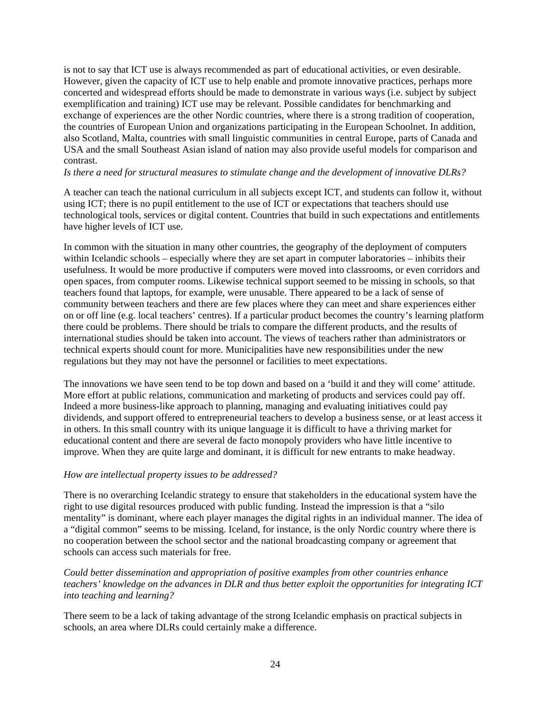is not to say that ICT use is always recommended as part of educational activities, or even desirable. However, given the capacity of ICT use to help enable and promote innovative practices, perhaps more concerted and widespread efforts should be made to demonstrate in various ways (i.e. subject by subject exemplification and training) ICT use may be relevant. Possible candidates for benchmarking and exchange of experiences are the other Nordic countries, where there is a strong tradition of cooperation, the countries of European Union and organizations participating in the European Schoolnet. In addition, also Scotland, Malta, countries with small linguistic communities in central Europe, parts of Canada and USA and the small Southeast Asian island of nation may also provide useful models for comparison and contrast.

#### *Is there a need for structural measures to stimulate change and the development of innovative DLRs?*

A teacher can teach the national curriculum in all subjects except ICT, and students can follow it, without using ICT; there is no pupil entitlement to the use of ICT or expectations that teachers should use technological tools, services or digital content. Countries that build in such expectations and entitlements have higher levels of ICT use.

In common with the situation in many other countries, the geography of the deployment of computers within Icelandic schools – especially where they are set apart in computer laboratories – inhibits their usefulness. It would be more productive if computers were moved into classrooms, or even corridors and open spaces, from computer rooms. Likewise technical support seemed to be missing in schools, so that teachers found that laptops, for example, were unusable. There appeared to be a lack of sense of community between teachers and there are few places where they can meet and share experiences either on or off line (e.g. local teachers' centres). If a particular product becomes the country's learning platform there could be problems. There should be trials to compare the different products, and the results of international studies should be taken into account. The views of teachers rather than administrators or technical experts should count for more. Municipalities have new responsibilities under the new regulations but they may not have the personnel or facilities to meet expectations.

The innovations we have seen tend to be top down and based on a 'build it and they will come' attitude. More effort at public relations, communication and marketing of products and services could pay off. Indeed a more business-like approach to planning, managing and evaluating initiatives could pay dividends, and support offered to entrepreneurial teachers to develop a business sense, or at least access it in others. In this small country with its unique language it is difficult to have a thriving market for educational content and there are several de facto monopoly providers who have little incentive to improve. When they are quite large and dominant, it is difficult for new entrants to make headway.

#### *How are intellectual property issues to be addressed?*

There is no overarching Icelandic strategy to ensure that stakeholders in the educational system have the right to use digital resources produced with public funding. Instead the impression is that a "silo mentality" is dominant, where each player manages the digital rights in an individual manner. The idea of a "digital common" seems to be missing. Iceland, for instance, is the only Nordic country where there is no cooperation between the school sector and the national broadcasting company or agreement that schools can access such materials for free.

*Could better dissemination and appropriation of positive examples from other countries enhance teachers' knowledge on the advances in DLR and thus better exploit the opportunities for integrating ICT into teaching and learning?*

There seem to be a lack of taking advantage of the strong Icelandic emphasis on practical subjects in schools, an area where DLRs could certainly make a difference.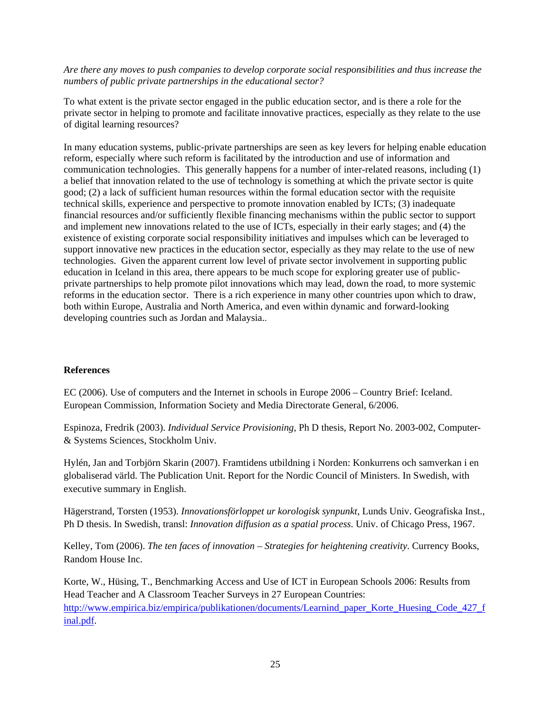<span id="page-24-0"></span>*Are there any moves to push companies to develop corporate social responsibilities and thus increase the numbers of public private partnerships in the educational sector?* 

To what extent is the private sector engaged in the public education sector, and is there a role for the private sector in helping to promote and facilitate innovative practices, especially as they relate to the use of digital learning resources?

In many education systems, public-private partnerships are seen as key levers for helping enable education reform, especially where such reform is facilitated by the introduction and use of information and communication technologies. This generally happens for a number of inter-related reasons, including (1) a belief that innovation related to the use of technology is something at which the private sector is quite good; (2) a lack of sufficient human resources within the formal education sector with the requisite technical skills, experience and perspective to promote innovation enabled by ICTs; (3) inadequate financial resources and/or sufficiently flexible financing mechanisms within the public sector to support and implement new innovations related to the use of ICTs, especially in their early stages; and (4) the existence of existing corporate social responsibility initiatives and impulses which can be leveraged to support innovative new practices in the education sector, especially as they may relate to the use of new technologies. Given the apparent current low level of private sector involvement in supporting public education in Iceland in this area, there appears to be much scope for exploring greater use of publicprivate partnerships to help promote pilot innovations which may lead, down the road, to more systemic reforms in the education sector. There is a rich experience in many other countries upon which to draw, both within Europe, Australia and North America, and even within dynamic and forward-looking developing countries such as Jordan and Malaysia..

#### **References**

EC (2006). Use of computers and the Internet in schools in Europe 2006 – Country Brief: Iceland. European Commission, Information Society and Media Directorate General, 6/2006.

Espinoza, Fredrik (2003). *Individual Service Provisioning*, Ph D thesis, Report No. 2003-002, Computer- & Systems Sciences, Stockholm Univ.

Hylén, Jan and Torbjörn Skarin (2007). Framtidens utbildning i Norden: Konkurrens och samverkan i en globaliserad värld. The Publication Unit. Report for the Nordic Council of Ministers. In Swedish, with executive summary in English.

Hägerstrand, Torsten (1953). *Innovationsförloppet ur korologisk synpunkt*, Lunds Univ. Geografiska Inst., Ph D thesis. In Swedish, transl: *Innovation diffusion as a spatial process*. Univ. of Chicago Press, 1967.

Kelley, Tom (2006). *The ten faces of innovation – Strategies for heightening creativity*. Currency Books, Random House Inc.

Korte, W., Hüsing, T., Benchmarking Access and Use of ICT in European Schools 2006: Results from Head Teacher and A Classroom Teacher Surveys in 27 European Countries: [http://www.empirica.biz/empirica/publikationen/documents/Learnind\\_paper\\_Korte\\_Huesing\\_Code\\_427\\_f](http://www.empirica.biz/empirica/publikationen/documents/Learnind_paper_Korte_Huesing_Code_427_final.pdf) [inal.pdf.](http://www.empirica.biz/empirica/publikationen/documents/Learnind_paper_Korte_Huesing_Code_427_final.pdf)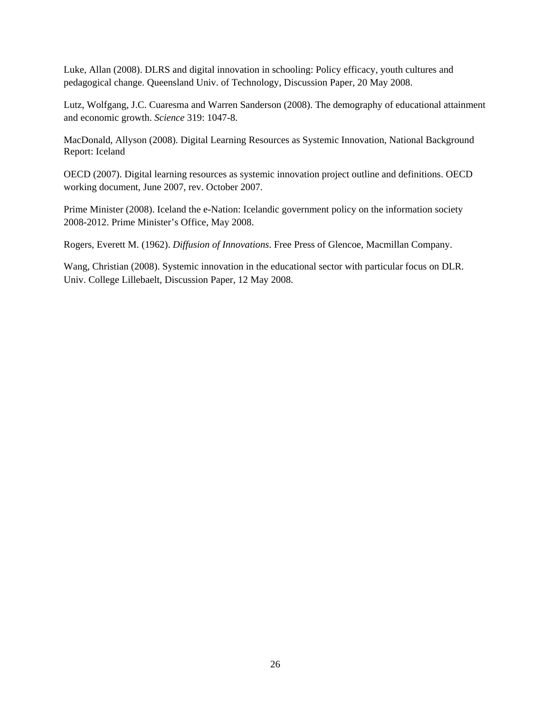Luke, Allan (2008). DLRS and digital innovation in schooling: Policy efficacy, youth cultures and pedagogical change. Queensland Univ. of Technology, Discussion Paper, 20 May 2008.

Lutz, Wolfgang, J.C. Cuaresma and Warren Sanderson (2008). The demography of educational attainment and economic growth. *Science* 319: 1047-8.

MacDonald, Allyson (2008). Digital Learning Resources as Systemic Innovation, National Background Report: Iceland

OECD (2007). Digital learning resources as systemic innovation project outline and definitions. OECD working document, June 2007, rev. October 2007.

Prime Minister (2008). Iceland the e-Nation: Icelandic government policy on the information society 2008-2012. Prime Minister's Office, May 2008.

Rogers, Everett M. (1962). *Diffusion of Innovations*. Free Press of Glencoe, Macmillan Company.

Wang, Christian (2008). Systemic innovation in the educational sector with particular focus on DLR. Univ. College Lillebaelt, Discussion Paper, 12 May 2008.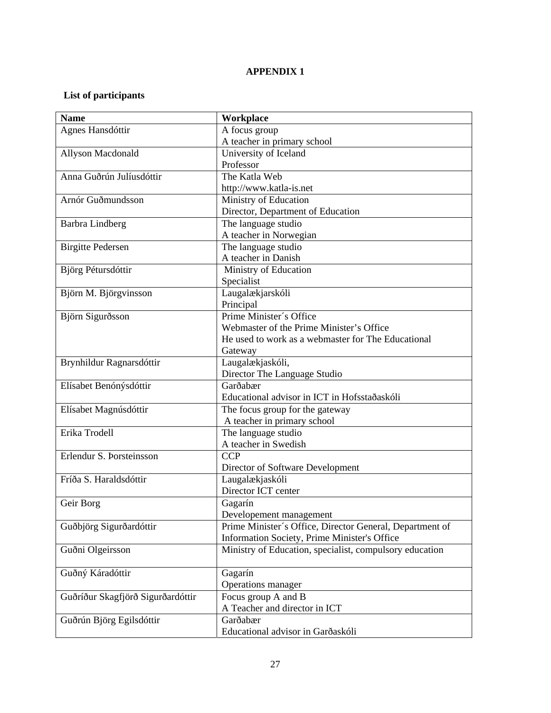## **APPENDIX 1**

## <span id="page-26-0"></span>**List of participants**

| <b>Name</b>                       | Workplace                                                |
|-----------------------------------|----------------------------------------------------------|
| Agnes Hansdóttir                  | A focus group                                            |
|                                   | A teacher in primary school                              |
| Allyson Macdonald                 | University of Iceland                                    |
|                                   | Professor                                                |
| Anna Guðrún Julíusdóttir          | The Katla Web                                            |
|                                   | http://www.katla-is.net                                  |
| Arnór Guðmundsson                 | Ministry of Education                                    |
|                                   | Director, Department of Education                        |
| <b>Barbra Lindberg</b>            | The language studio                                      |
|                                   | A teacher in Norwegian                                   |
| <b>Birgitte Pedersen</b>          | The language studio                                      |
|                                   | A teacher in Danish                                      |
| Björg Pétursdóttir                | Ministry of Education                                    |
|                                   | Specialist                                               |
| Björn M. Björgvinsson             | Laugalækjarskóli                                         |
|                                   | Principal                                                |
| Björn Sigurðsson                  | Prime Minister's Office                                  |
|                                   | Webmaster of the Prime Minister's Office                 |
|                                   | He used to work as a webmaster for The Educational       |
|                                   | Gateway                                                  |
| Brynhildur Ragnarsdóttir          | Laugalækjaskóli,                                         |
|                                   | Director The Language Studio                             |
| Elísabet Benónýsdóttir            | Garðabær                                                 |
|                                   | Educational advisor in ICT in Hofsstaðaskóli             |
| Elísabet Magnúsdóttir             | The focus group for the gateway                          |
|                                   | A teacher in primary school                              |
| Erika Trodell                     | The language studio                                      |
|                                   | A teacher in Swedish                                     |
| Erlendur S. Þorsteinsson          | <b>CCP</b>                                               |
|                                   | Director of Software Development                         |
| Fríða S. Haraldsdóttir            | Laugalækjaskóli                                          |
|                                   | Director ICT center                                      |
| Geir Borg                         | Gagarín                                                  |
|                                   | Developement management                                  |
| Guðbjörg Sigurðardóttir           | Prime Minister's Office, Director General, Department of |
|                                   | Information Society, Prime Minister's Office             |
| Guðni Olgeirsson                  | Ministry of Education, specialist, compulsory education  |
|                                   |                                                          |
| Guðný Káradóttir                  | Gagarín                                                  |
|                                   | Operations manager                                       |
| Guðríður Skagfjörð Sigurðardóttir | Focus group A and B                                      |
|                                   | A Teacher and director in ICT                            |
| Guðrún Björg Egilsdóttir          | Garðabær                                                 |
|                                   | Educational advisor in Garðaskóli                        |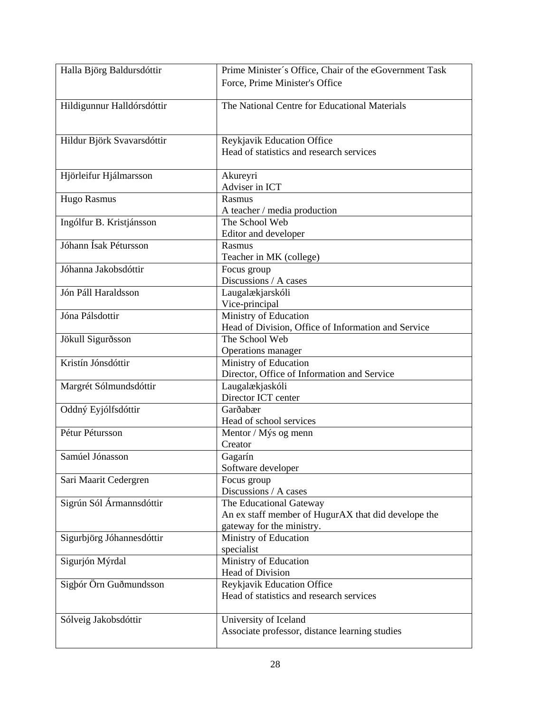| Halla Björg Baldursdóttir  | Prime Minister's Office, Chair of the eGovernment Task |
|----------------------------|--------------------------------------------------------|
|                            | Force, Prime Minister's Office                         |
|                            |                                                        |
| Hildigunnur Halldórsdóttir | The National Centre for Educational Materials          |
|                            |                                                        |
|                            |                                                        |
| Hildur Björk Svavarsdóttir | Reykjavik Education Office                             |
|                            | Head of statistics and research services               |
|                            |                                                        |
| Hjörleifur Hjálmarsson     | Akureyri                                               |
|                            | Adviser in ICT                                         |
| <b>Hugo Rasmus</b>         | Rasmus                                                 |
|                            | A teacher / media production                           |
| Ingólfur B. Kristjánsson   | The School Web                                         |
|                            | Editor and developer                                   |
| Jóhann Ísak Pétursson      | Rasmus                                                 |
|                            | Teacher in MK (college)                                |
| Jóhanna Jakobsdóttir       | Focus group                                            |
|                            | Discussions / A cases                                  |
| Jón Páll Haraldsson        | Laugalækjarskóli                                       |
|                            | Vice-principal                                         |
| Jóna Pálsdottir            | Ministry of Education                                  |
|                            | Head of Division, Office of Information and Service    |
| Jökull Sigurðsson          | The School Web                                         |
|                            | Operations manager                                     |
| Kristín Jónsdóttir         | Ministry of Education                                  |
|                            | Director, Office of Information and Service            |
| Margrét Sólmundsdóttir     | Laugalækjaskóli                                        |
|                            | Director ICT center                                    |
| Oddný Eyjólfsdóttir        | Garðabær                                               |
|                            | Head of school services                                |
| Pétur Pétursson            | Mentor / Mýs og menn                                   |
|                            | Creator                                                |
| Samúel Jónasson            | Gagarín                                                |
|                            | Software developer                                     |
| Sari Maarit Cedergren      | Focus group                                            |
|                            | Discussions / A cases                                  |
| Sigrún Sól Ármannsdóttir   | The Educational Gateway                                |
|                            | An ex staff member of HugurAX that did develope the    |
|                            | gateway for the ministry.                              |
| Sigurbjörg Jóhannesdóttir  | Ministry of Education                                  |
|                            | specialist                                             |
| Sigurjón Mýrdal            | Ministry of Education                                  |
|                            | Head of Division                                       |
| Sigþór Örn Guðmundsson     | Reykjavik Education Office                             |
|                            | Head of statistics and research services               |
|                            |                                                        |
| Sólveig Jakobsdóttir       | University of Iceland                                  |
|                            | Associate professor, distance learning studies         |
|                            |                                                        |